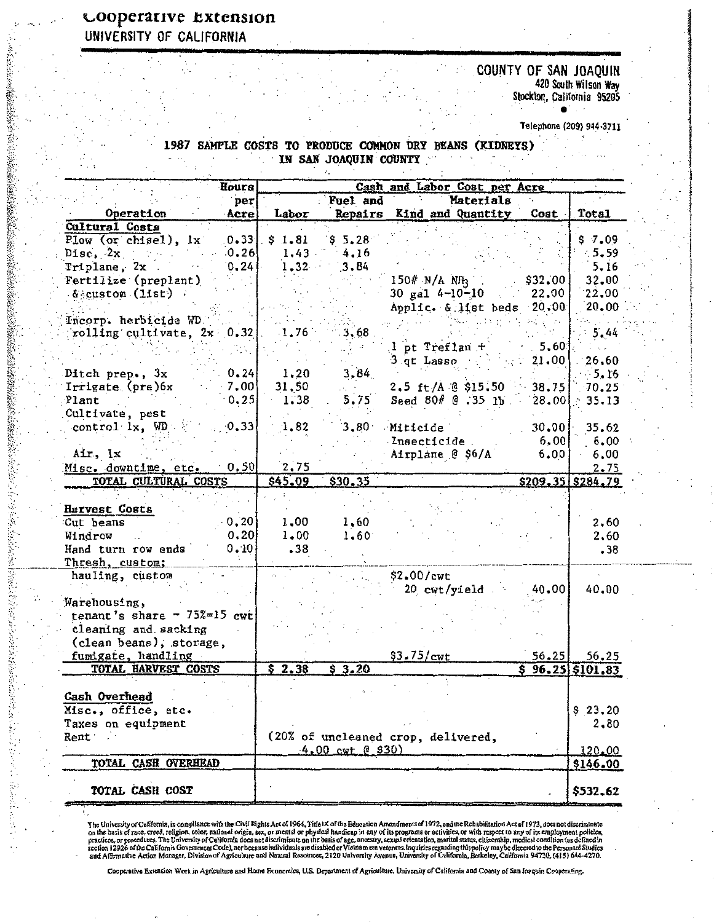## cooperative Extension UNIVERSITY OF CALIFORNIA

2012年の経営のように

(2) 不可以把握的 计可变化 医心理学 医心理学

**Channel** 

## COUNTY OF SAN JOAQUIN 420 South Wilson Way<br>Stockton, California 95205

Telephone (209) 944-3711

 $\bullet$ 

1987 SAMPLE COSTS TO PRODUCE COMMON DRY BEANS (KIDNEYS) IN SAN JOAQUIN COUNTY

 $\mathcal{L}_{\mathcal{L}}$ 

|                                     | Hours | Cash and Labor Cost per Acre |                            |                                    |         |                        |  |
|-------------------------------------|-------|------------------------------|----------------------------|------------------------------------|---------|------------------------|--|
|                                     | per   |                              | Fuel and                   | Materials                          |         |                        |  |
| Operation                           | Acre  | Labor                        |                            | Repairs Kind and Quantity          | Cost    | Total                  |  |
| Cultural Costs                      |       |                              |                            |                                    |         |                        |  |
| Plow (or chisel), lx                | 0.33  | \$1.81                       | \$5.28\$                   |                                    |         | \$7.09                 |  |
| Disc, $2x$                          | 0.26  | 1.43                         | 4.16                       |                                    |         | $-5.59$                |  |
| Triplane, 2x                        | 0, 24 | $1.32 -$                     | 3.84                       |                                    |         | 5,16                   |  |
| Fertilize (preplant)                |       |                              |                            | $150\%$ N/A NH <sub>3</sub>        | \$32,00 | 32.00                  |  |
| $\mathcal{L}_{\text{SCLs} }$ (11st) |       |                              |                            | 30 gal $4-10-10$                   | 22,00   | 22,00                  |  |
|                                     |       |                              |                            | Applic. & list beds                | 20, 00  | 20.00                  |  |
| Incorp. herbicide WD.               |       |                              |                            |                                    |         |                        |  |
| rolling cultivate, $2x \cdot 0.32$  |       | 1.76                         | 3.68                       |                                    |         | 5.44                   |  |
|                                     |       |                              |                            |                                    | 5,60    | i su                   |  |
|                                     |       |                              |                            | $1$ pt Treflan +                   |         | 26,60                  |  |
|                                     |       |                              |                            | 3 qt Lasso                         | 21.00   |                        |  |
| Ditch prep., 3x                     | 0.24  | 1.20                         | 3,84                       |                                    |         | $-5.16$                |  |
| Irrigate (pre)6x                    | 7.00  | 31,50                        |                            | $2.5$ ft/A @ \$15.50               | 38.75   | 70.25                  |  |
| Plant                               | 0.25  | 1,38                         | 5.75                       | Seed 80# @ .35 1b.                 | 28.00   | 35.13                  |  |
| Cultivate, pest                     |       |                              |                            |                                    |         |                        |  |
| control 1x, WD                      | 0.33  | 1.82                         |                            | 3.80 Miticide                      | 30,00   | 35.62                  |  |
|                                     |       |                              |                            | Insecticide                        | 6,00    | 6.00                   |  |
| Air, Ix                             |       |                              |                            | Airplane @ \$6/A                   | 6.00    | 6,00                   |  |
| Misc. downtime, etc.                | 0.50  | 2.75                         |                            |                                    |         | 2.75                   |  |
| TOTAL CULTURAL COSTS                |       | S45.09                       | \$30.35                    |                                    |         | \$209.35 \$284.79      |  |
|                                     |       |                              |                            |                                    |         |                        |  |
| Harvest Costs                       |       |                              |                            |                                    |         |                        |  |
| Cut beans                           | 0, 20 | 1,00                         | 1,60                       |                                    |         | 2,60                   |  |
| Windrow                             | 0, 20 | 1,00                         | $1.60^{\circ}$             |                                    |         | 2,60                   |  |
| Hand turn row ends                  | 0.10  | .38                          |                            |                                    |         | .38                    |  |
| Thresh, custom;                     |       |                              |                            |                                    |         |                        |  |
| hauling, custom                     |       |                              |                            | \$2.00/cwt                         |         |                        |  |
|                                     |       |                              |                            | $20$ cwt/yield                     | 40,00   | 40.00                  |  |
| Warehousing,                        |       |                              |                            |                                    |         |                        |  |
| tenant's share - $75\%$ =15 cwt     |       |                              |                            |                                    |         |                        |  |
| cleaning and sacking                |       |                              |                            |                                    |         |                        |  |
| (clean beans), storage,             |       |                              |                            |                                    |         |                        |  |
|                                     |       |                              |                            | \$3.75/cwt                         | 56,25   |                        |  |
| fumigate, handling                  |       | \$2.38                       | \$3.20                     |                                    |         | 56.25                  |  |
| TOTAL HARVEST COSTS                 |       |                              |                            |                                    |         | $$96.25 \times 101.83$ |  |
|                                     |       |                              |                            |                                    |         |                        |  |
| Cash Overhead                       |       |                              |                            |                                    |         |                        |  |
| Misc., office, etc.                 |       |                              |                            |                                    |         | \$23.20                |  |
| Taxes on equipment                  |       |                              |                            |                                    |         | 2,80                   |  |
| Rent                                |       |                              |                            | (20% of uncleaned crop, delivered, |         |                        |  |
|                                     |       |                              | $4.00 \text{ cut}$ ( \$30) |                                    |         | 120.00                 |  |
| TOTAL CASH OVERHEAD                 |       |                              |                            |                                    |         | \$146.00               |  |
|                                     |       |                              |                            |                                    |         |                        |  |
| TOTAL CASH COST                     |       |                              |                            |                                    |         | \$532.62               |  |

The University of California, in compliance with the Civil Rights Act of 1964, Tifle 1X of the Education Amendments of 1972, and the Rehabilitation Act of 1973, does not discriminate<br>on the basis of race, creed, religion,

Cooperative Extension Work in Agriculture and Home Economica, U.S. Department of Agriculture, University of California and County of San Inequin Cooperating,